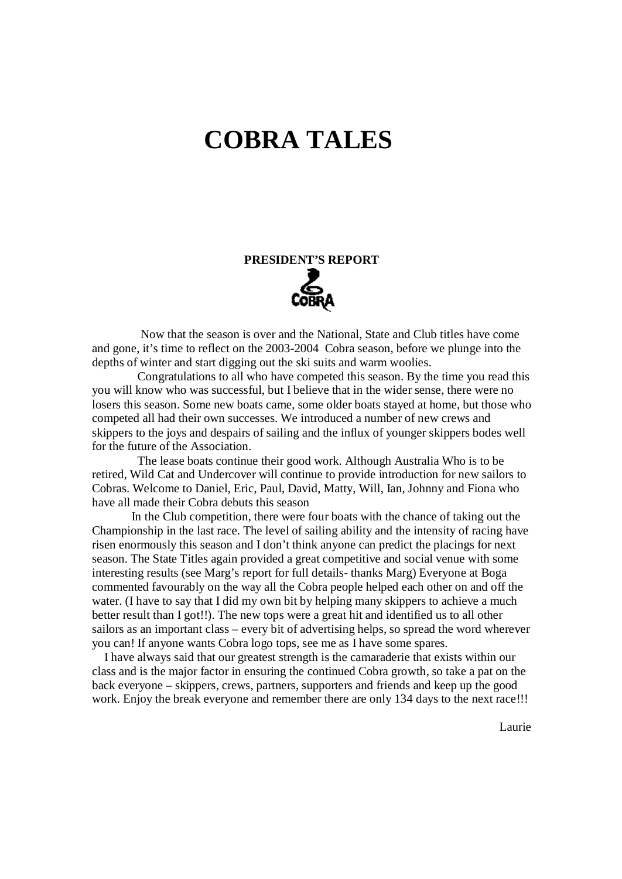## **COBRA TALES**

# **PRESIDENT'S REPORT**

 Now that the season is over and the National, State and Club titles have come and gone, it's time to reflect on the 2003-2004 Cobra season, before we plunge into the depths of winter and start digging out the ski suits and warm woolies.

 Congratulations to all who have competed this season. By the time you read this you will know who was successful, but I believe that in the wider sense, there were no losers this season. Some new boats came, some older boats stayed at home, but those who competed all had their own successes. We introduced a number of new crews and skippers to the joys and despairs of sailing and the influx of younger skippers bodes well for the future of the Association.

 The lease boats continue their good work. Although Australia Who is to be retired, Wild Cat and Undercover will continue to provide introduction for new sailors to Cobras. Welcome to Daniel, Eric, Paul, David, Matty, Will, Ian, Johnny and Fiona who have all made their Cobra debuts this season

 In the Club competition, there were four boats with the chance of taking out the Championship in the last race. The level of sailing ability and the intensity of racing have risen enormously this season and I don't think anyone can predict the placings for next season. The State Titles again provided a great competitive and social venue with some interesting results (see Marg's report for full details- thanks Marg) Everyone at Boga commented favourably on the way all the Cobra people helped each other on and off the water. (I have to say that I did my own bit by helping many skippers to achieve a much better result than I got!!). The new tops were a great hit and identified us to all other sailors as an important class – every bit of advertising helps, so spread the word wherever you can! If anyone wants Cobra logo tops, see me as I have some spares.

 I have always said that our greatest strength is the camaraderie that exists within our class and is the major factor in ensuring the continued Cobra growth, so take a pat on the back everyone – skippers, crews, partners, supporters and friends and keep up the good work. Enjoy the break everyone and remember there are only 134 days to the next race!!!

Laurie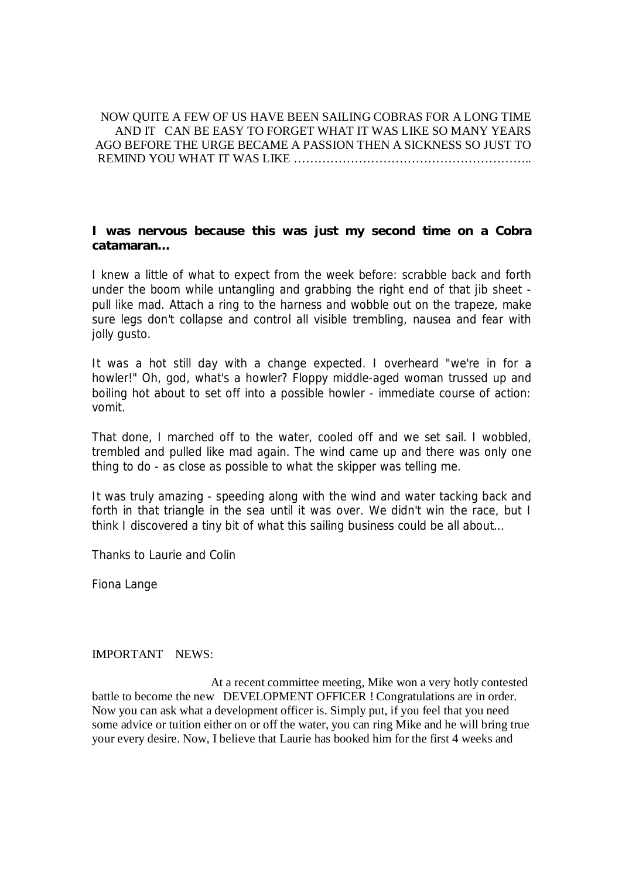#### NOW QUITE A FEW OF US HAVE BEEN SAILING COBRAS FOR A LONG TIME AND IT CAN BE EASY TO FORGET WHAT IT WAS LIKE SO MANY YEARS AGO BEFORE THE URGE BECAME A PASSION THEN A SICKNESS SO JUST TO REMIND YOU WHAT IT WAS LIKE …………………………………………………..

**I was nervous because this was just my second time on a Cobra catamaran…** 

I knew a little of what to expect from the week before: scrabble back and forth under the boom while untangling and grabbing the right end of that jib sheet pull like mad. Attach a ring to the harness and wobble out on the trapeze, make sure legs don't collapse and control all visible trembling, nausea and fear with jolly gusto.

It was a hot still day with a change expected. I overheard "we're in for a howler!" Oh, god, what's a howler? Floppy middle-aged woman trussed up and boiling hot about to set off into a possible howler - immediate course of action: vomit.

That done, I marched off to the water, cooled off and we set sail. I wobbled, trembled and pulled like mad again. The wind came up and there was only one thing to do - as close as possible to what the skipper was telling me.

It was truly amazing - speeding along with the wind and water tacking back and forth in that triangle in the sea until it was over. We didn't win the race, but I think I discovered a tiny bit of what this sailing business could be all about…

Thanks to Laurie and Colin

Fiona Lange

#### IMPORTANT NEWS:

 At a recent committee meeting, Mike won a very hotly contested battle to become the new DEVELOPMENT OFFICER ! Congratulations are in order. Now you can ask what a development officer is. Simply put, if you feel that you need some advice or tuition either on or off the water, you can ring Mike and he will bring true your every desire. Now, I believe that Laurie has booked him for the first 4 weeks and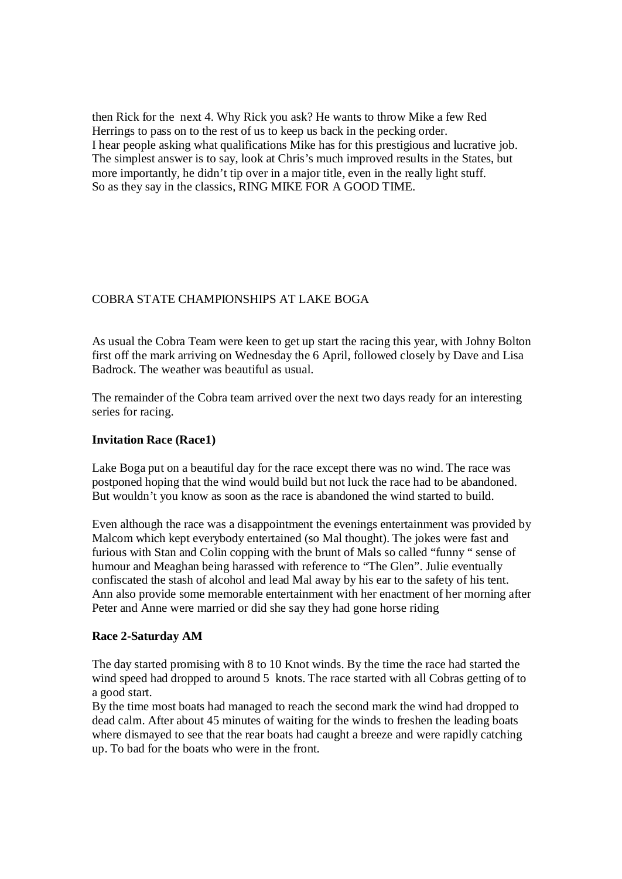then Rick for the next 4. Why Rick you ask? He wants to throw Mike a few Red Herrings to pass on to the rest of us to keep us back in the pecking order. I hear people asking what qualifications Mike has for this prestigious and lucrative job. The simplest answer is to say, look at Chris's much improved results in the States, but more importantly, he didn't tip over in a major title, even in the really light stuff. So as they say in the classics, RING MIKE FOR A GOOD TIME.

#### COBRA STATE CHAMPIONSHIPS AT LAKE BOGA

As usual the Cobra Team were keen to get up start the racing this year, with Johny Bolton first off the mark arriving on Wednesday the 6 April, followed closely by Dave and Lisa Badrock. The weather was beautiful as usual.

The remainder of the Cobra team arrived over the next two days ready for an interesting series for racing.

#### **Invitation Race (Race1)**

Lake Boga put on a beautiful day for the race except there was no wind. The race was postponed hoping that the wind would build but not luck the race had to be abandoned. But wouldn't you know as soon as the race is abandoned the wind started to build.

Even although the race was a disappointment the evenings entertainment was provided by Malcom which kept everybody entertained (so Mal thought). The jokes were fast and furious with Stan and Colin copping with the brunt of Mals so called "funny " sense of humour and Meaghan being harassed with reference to "The Glen". Julie eventually confiscated the stash of alcohol and lead Mal away by his ear to the safety of his tent. Ann also provide some memorable entertainment with her enactment of her morning after Peter and Anne were married or did she say they had gone horse riding

#### **Race 2-Saturday AM**

The day started promising with 8 to 10 Knot winds. By the time the race had started the wind speed had dropped to around 5 knots. The race started with all Cobras getting of to a good start.

By the time most boats had managed to reach the second mark the wind had dropped to dead calm. After about 45 minutes of waiting for the winds to freshen the leading boats where dismayed to see that the rear boats had caught a breeze and were rapidly catching up. To bad for the boats who were in the front.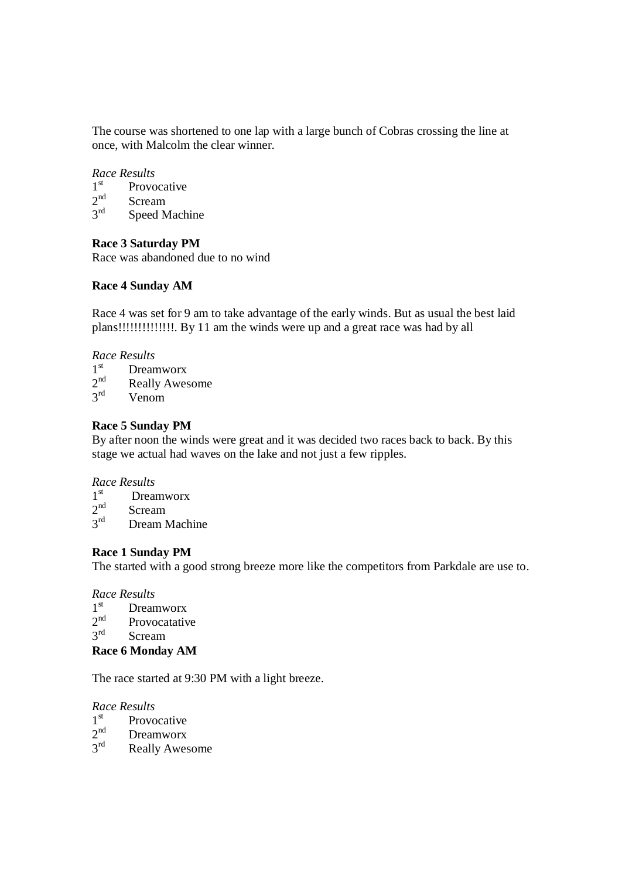The course was shortened to one lap with a large bunch of Cobras crossing the line at once, with Malcolm the clear winner.

#### *Race Results*

- $1^{\text{st}}$ Provocative  $2<sup>nd</sup>$ Scream  $3^{\text{rd}}$
- Speed Machine

#### **Race 3 Saturday PM**

Race was abandoned due to no wind

#### **Race 4 Sunday AM**

Race 4 was set for 9 am to take advantage of the early winds. But as usual the best laid plans!!!!!!!!!!!!!!. By 11 am the winds were up and a great race was had by all

#### *Race Results*

- $1^{\text{st}}$ Dreamworx
- $2<sup>nd</sup>$ Really Awesome
- $3^{\text{rd}}$ Venom

#### **Race 5 Sunday PM**

By after noon the winds were great and it was decided two races back to back. By this stage we actual had waves on the lake and not just a few ripples.

#### *Race Results*

- $1^{\text{st}}$ Dreamworx
- $2<sup>nd</sup>$ Scream
- $3^{\rm rd}$ Dream Machine

#### **Race 1 Sunday PM**

The started with a good strong breeze more like the competitors from Parkdale are use to.

#### *Race Results*

- $1^{\rm st}$ Dreamworx
- $2<sup>nd</sup>$ Provocatative
- $3^{\text{rd}}$ Scream

#### **Race 6 Monday AM**

The race started at 9:30 PM with a light breeze.

#### *Race Results*

- $1^{\rm st}$ Provocative
- $2<sup>nd</sup>$ Dreamworx
- $3^{\text{rd}}$ Really Awesome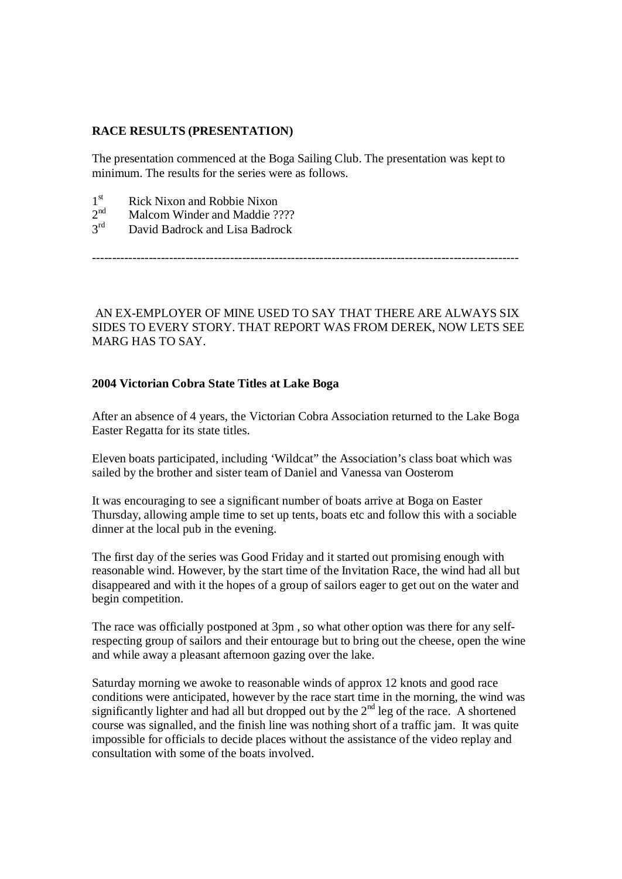#### **RACE RESULTS (PRESENTATION)**

The presentation commenced at the Boga Sailing Club. The presentation was kept to minimum. The results for the series were as follows.

- $1<sup>st</sup>$ Rick Nixon and Robbie Nixon
- $2<sup>nd</sup>$ Malcom Winder and Maddie ????
- $3<sup>rd</sup>$ David Badrock and Lisa Badrock

---------------------------------------------------------------------------------------------------------

AN EX-EMPLOYER OF MINE USED TO SAY THAT THERE ARE ALWAYS SIX SIDES TO EVERY STORY. THAT REPORT WAS FROM DEREK, NOW LETS SEE MARG HAS TO SAY.

#### **2004 Victorian Cobra State Titles at Lake Boga**

After an absence of 4 years, the Victorian Cobra Association returned to the Lake Boga Easter Regatta for its state titles.

Eleven boats participated, including 'Wildcat" the Association's class boat which was sailed by the brother and sister team of Daniel and Vanessa van Oosterom

It was encouraging to see a significant number of boats arrive at Boga on Easter Thursday, allowing ample time to set up tents, boats etc and follow this with a sociable dinner at the local pub in the evening.

The first day of the series was Good Friday and it started out promising enough with reasonable wind. However, by the start time of the Invitation Race, the wind had all but disappeared and with it the hopes of a group of sailors eager to get out on the water and begin competition.

The race was officially postponed at 3pm , so what other option was there for any selfrespecting group of sailors and their entourage but to bring out the cheese, open the wine and while away a pleasant afternoon gazing over the lake.

Saturday morning we awoke to reasonable winds of approx 12 knots and good race conditions were anticipated, however by the race start time in the morning, the wind was significantly lighter and had all but dropped out by the  $2<sup>nd</sup>$  leg of the race. A shortened course was signalled, and the finish line was nothing short of a traffic jam. It was quite impossible for officials to decide places without the assistance of the video replay and consultation with some of the boats involved.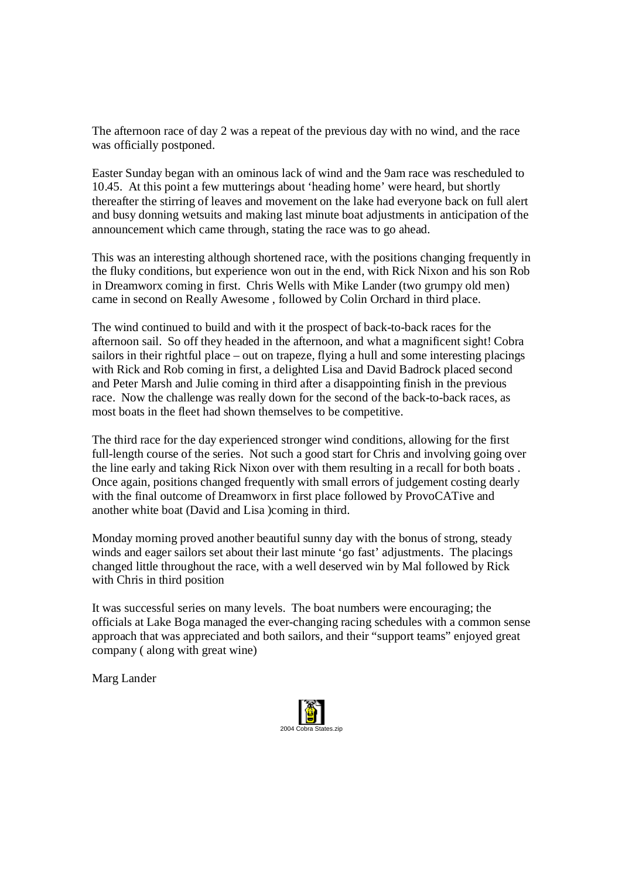The afternoon race of day 2 was a repeat of the previous day with no wind, and the race was officially postponed.

Easter Sunday began with an ominous lack of wind and the 9am race was rescheduled to 10.45. At this point a few mutterings about 'heading home' were heard, but shortly thereafter the stirring of leaves and movement on the lake had everyone back on full alert and busy donning wetsuits and making last minute boat adjustments in anticipation of the announcement which came through, stating the race was to go ahead.

This was an interesting although shortened race, with the positions changing frequently in the fluky conditions, but experience won out in the end, with Rick Nixon and his son Rob in Dreamworx coming in first. Chris Wells with Mike Lander (two grumpy old men) came in second on Really Awesome , followed by Colin Orchard in third place.

The wind continued to build and with it the prospect of back-to-back races for the afternoon sail. So off they headed in the afternoon, and what a magnificent sight! Cobra sailors in their rightful place – out on trapeze, flying a hull and some interesting placings with Rick and Rob coming in first, a delighted Lisa and David Badrock placed second and Peter Marsh and Julie coming in third after a disappointing finish in the previous race. Now the challenge was really down for the second of the back-to-back races, as most boats in the fleet had shown themselves to be competitive.

The third race for the day experienced stronger wind conditions, allowing for the first full-length course of the series. Not such a good start for Chris and involving going over the line early and taking Rick Nixon over with them resulting in a recall for both boats . Once again, positions changed frequently with small errors of judgement costing dearly with the final outcome of Dreamworx in first place followed by ProvoCATive and another white boat (David and Lisa )coming in third.

Monday morning proved another beautiful sunny day with the bonus of strong, steady winds and eager sailors set about their last minute 'go fast' adjustments. The placings changed little throughout the race, with a well deserved win by Mal followed by Rick with Chris in third position

It was successful series on many levels. The boat numbers were encouraging; the officials at Lake Boga managed the ever-changing racing schedules with a common sense approach that was appreciated and both sailors, and their "support teams" enjoyed great company ( along with great wine)

Marg Lander